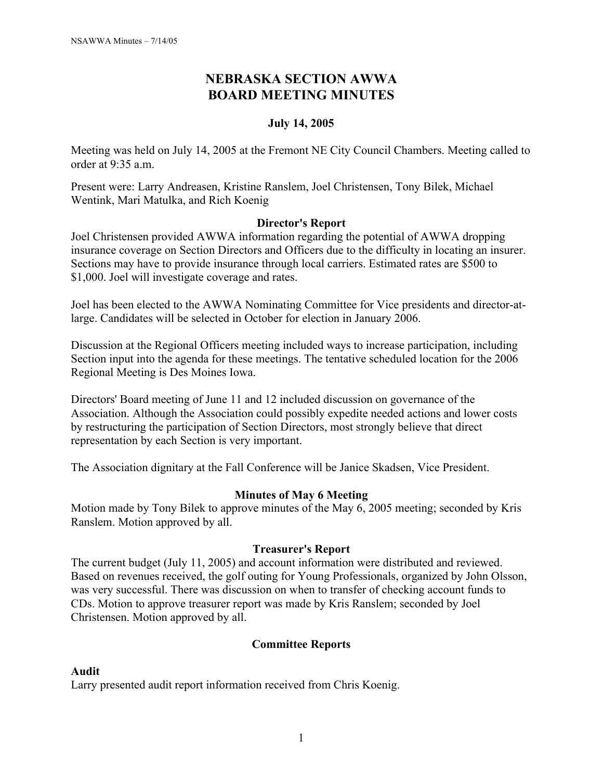# **NEBRASKA SECTION AWWA BOARD MEETING MINUTES**

## **July 14, 2005**

Meeting was held on July 14, 2005 at the Fremont NE City Council Chambers. Meeting called to order at 9:35 a.m.

Present were: Larry Andreasen, Kristine Ranslem, Joel Christensen, Tony Bilek, Michael Wentink, Mari Matulka, and Rich Koenig

### **Director's Report**

Joel Christensen provided AWWA information regarding the potential of AWWA dropping insurance coverage on Section Directors and Officers due to the difficulty in locating an insurer. Sections may have to provide insurance through local carriers. Estimated rates are \$500 to \$1,000. Joel will investigate coverage and rates.

Joel has been elected to the AWWA Nominating Committee for Vice presidents and director-atlarge. Candidates will be selected in October for election in January 2006.

Discussion at the Regional Officers meeting included ways to increase participation, including Section input into the agenda for these meetings. The tentative scheduled location for the 2006 Regional Meeting is Des Moines Iowa.

Directors' Board meeting of June 11 and 12 included discussion on governance of the Association. Although the Association could possibly expedite needed actions and lower costs by restructuring the participation of Section Directors, most strongly believe that direct representation by each Section is very important.

The Association dignitary at the Fall Conference will be Janice Skadsen, Vice President.

### **Minutes of May 6 Meeting**

Motion made by Tony Bilek to approve minutes of the May 6, 2005 meeting; seconded by Kris Ranslem. Motion approved by all.

### **Treasurer's Report**

The current budget (July 11, 2005) and account information were distributed and reviewed. Based on revenues received, the golf outing for Young Professionals, organized by John Olsson, was very successful. There was discussion on when to transfer of checking account funds to CDs. Motion to approve treasurer report was made by Kris Ranslem; seconded by Joel Christensen. Motion approved by all.

## **Committee Reports**

### **Audit**

Larry presented audit report information received from Chris Koenig.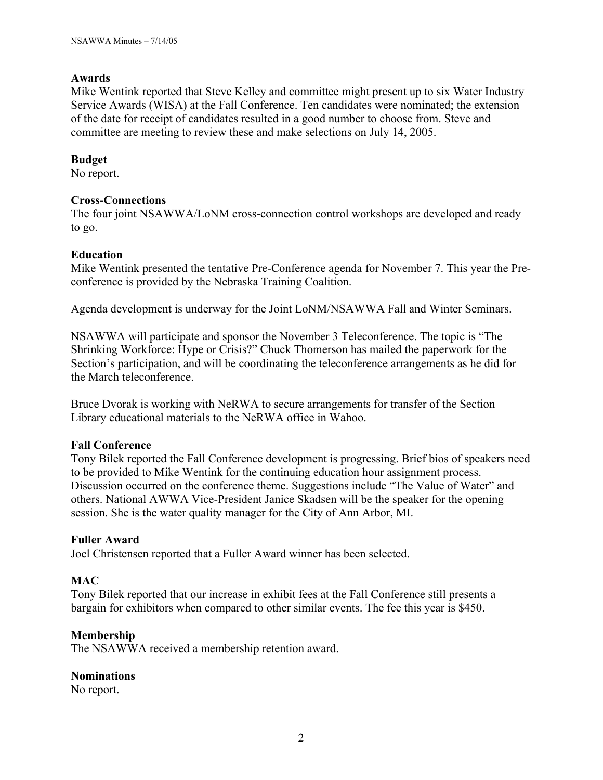## **Awards**

Mike Wentink reported that Steve Kelley and committee might present up to six Water Industry Service Awards (WISA) at the Fall Conference. Ten candidates were nominated; the extension of the date for receipt of candidates resulted in a good number to choose from. Steve and committee are meeting to review these and make selections on July 14, 2005.

## **Budget**

No report.

### **Cross-Connections**

The four joint NSAWWA/LoNM cross-connection control workshops are developed and ready to go.

## **Education**

Mike Wentink presented the tentative Pre-Conference agenda for November 7. This year the Preconference is provided by the Nebraska Training Coalition.

Agenda development is underway for the Joint LoNM/NSAWWA Fall and Winter Seminars.

NSAWWA will participate and sponsor the November 3 Teleconference. The topic is "The Shrinking Workforce: Hype or Crisis?" Chuck Thomerson has mailed the paperwork for the Section's participation, and will be coordinating the teleconference arrangements as he did for the March teleconference.

Bruce Dvorak is working with NeRWA to secure arrangements for transfer of the Section Library educational materials to the NeRWA office in Wahoo.

## **Fall Conference**

Tony Bilek reported the Fall Conference development is progressing. Brief bios of speakers need to be provided to Mike Wentink for the continuing education hour assignment process. Discussion occurred on the conference theme. Suggestions include "The Value of Water" and others. National AWWA Vice-President Janice Skadsen will be the speaker for the opening session. She is the water quality manager for the City of Ann Arbor, MI.

## **Fuller Award**

Joel Christensen reported that a Fuller Award winner has been selected.

## **MAC**

Tony Bilek reported that our increase in exhibit fees at the Fall Conference still presents a bargain for exhibitors when compared to other similar events. The fee this year is \$450.

### **Membership**

The NSAWWA received a membership retention award.

## **Nominations**

No report.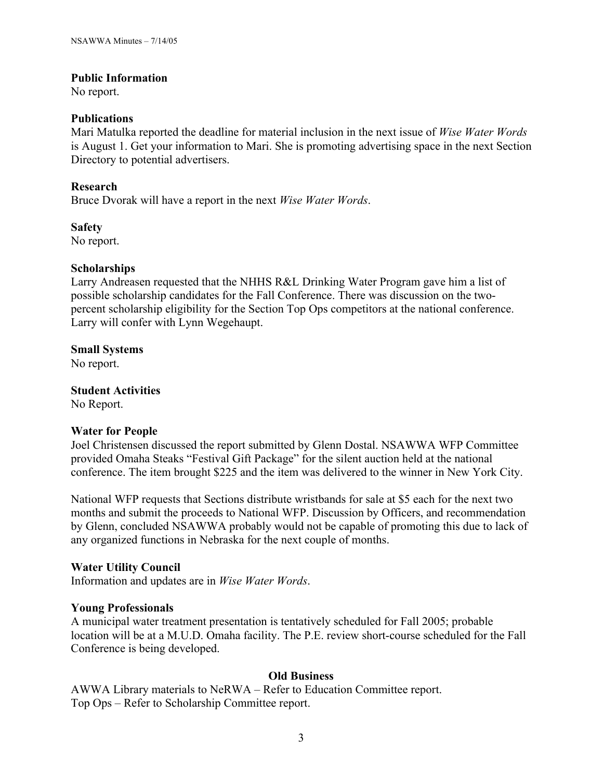### **Public Information**

No report.

#### **Publications**

Mari Matulka reported the deadline for material inclusion in the next issue of *Wise Water Words* is August 1. Get your information to Mari. She is promoting advertising space in the next Section Directory to potential advertisers.

### **Research**

Bruce Dvorak will have a report in the next *Wise Water Words*.

**Safety**

No report.

### **Scholarships**

Larry Andreasen requested that the NHHS R&L Drinking Water Program gave him a list of possible scholarship candidates for the Fall Conference. There was discussion on the twopercent scholarship eligibility for the Section Top Ops competitors at the national conference. Larry will confer with Lynn Wegehaupt.

**Small Systems**

No report.

**Student Activities** No Report.

### **Water for People**

Joel Christensen discussed the report submitted by Glenn Dostal. NSAWWA WFP Committee provided Omaha Steaks "Festival Gift Package" for the silent auction held at the national conference. The item brought \$225 and the item was delivered to the winner in New York City.

National WFP requests that Sections distribute wristbands for sale at \$5 each for the next two months and submit the proceeds to National WFP. Discussion by Officers, and recommendation by Glenn, concluded NSAWWA probably would not be capable of promoting this due to lack of any organized functions in Nebraska for the next couple of months.

### **Water Utility Council**

Information and updates are in *Wise Water Words*.

### **Young Professionals**

A municipal water treatment presentation is tentatively scheduled for Fall 2005; probable location will be at a M.U.D. Omaha facility. The P.E. review short-course scheduled for the Fall Conference is being developed.

### **Old Business**

AWWA Library materials to NeRWA – Refer to Education Committee report. Top Ops – Refer to Scholarship Committee report.